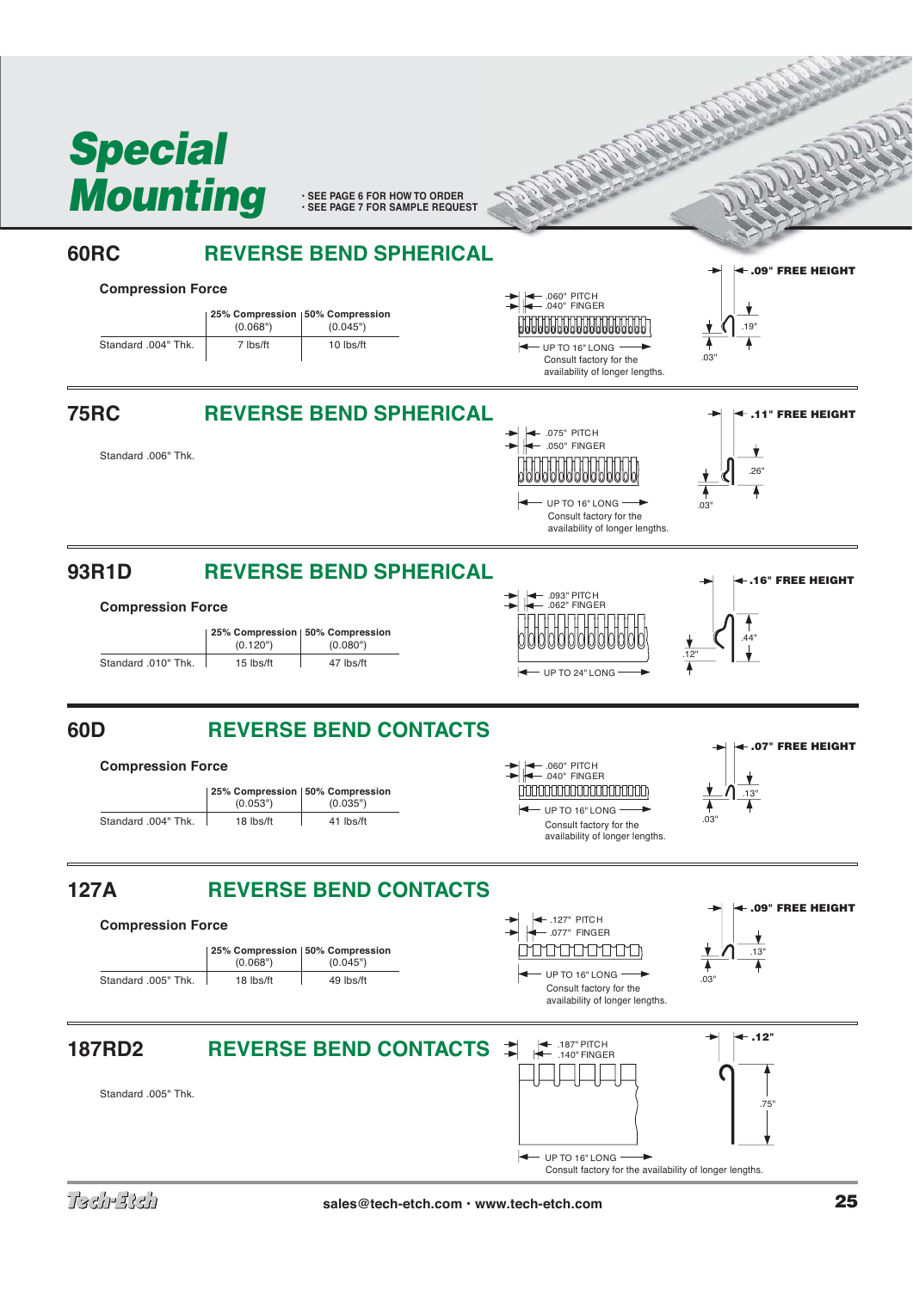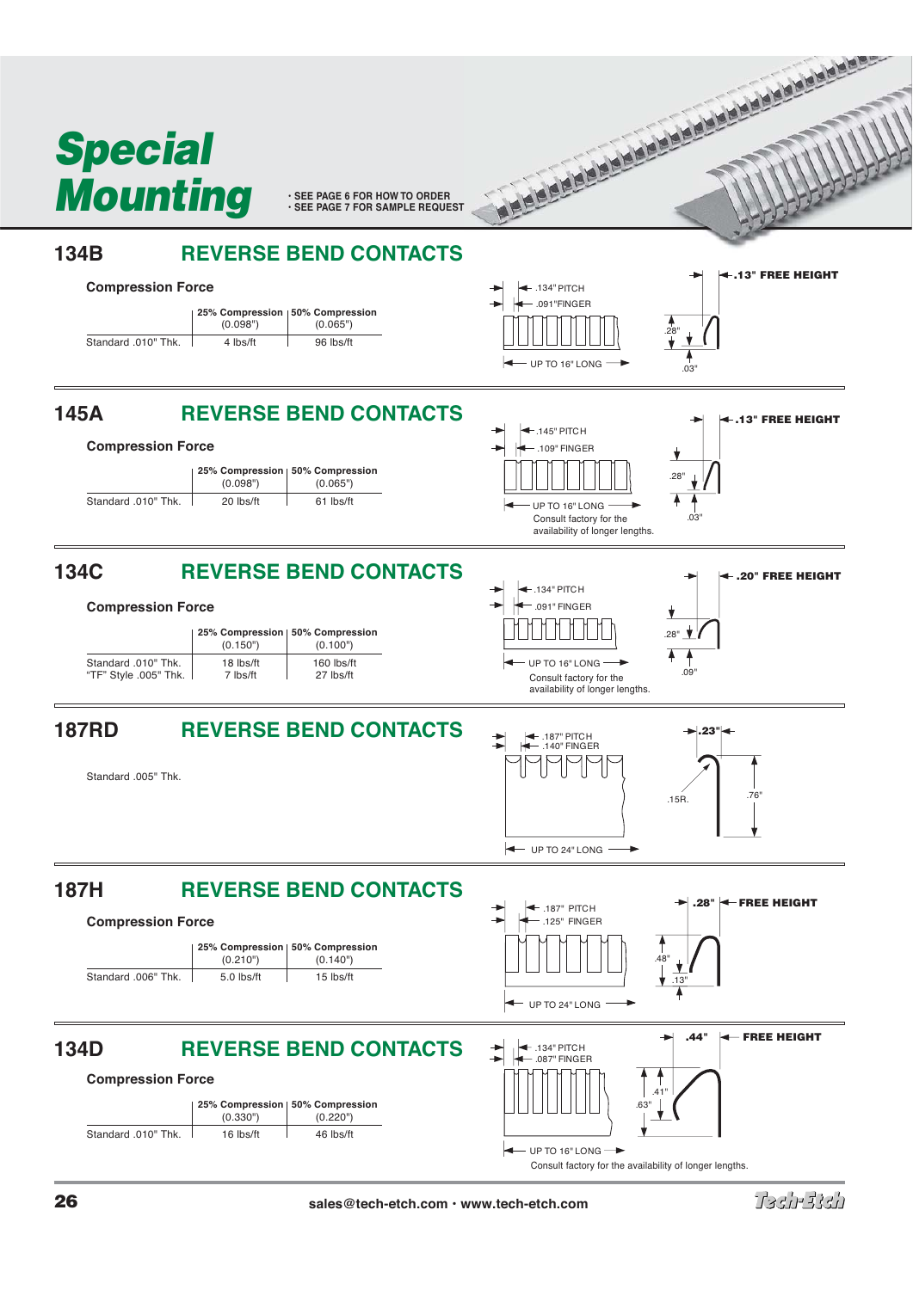

Tadhalah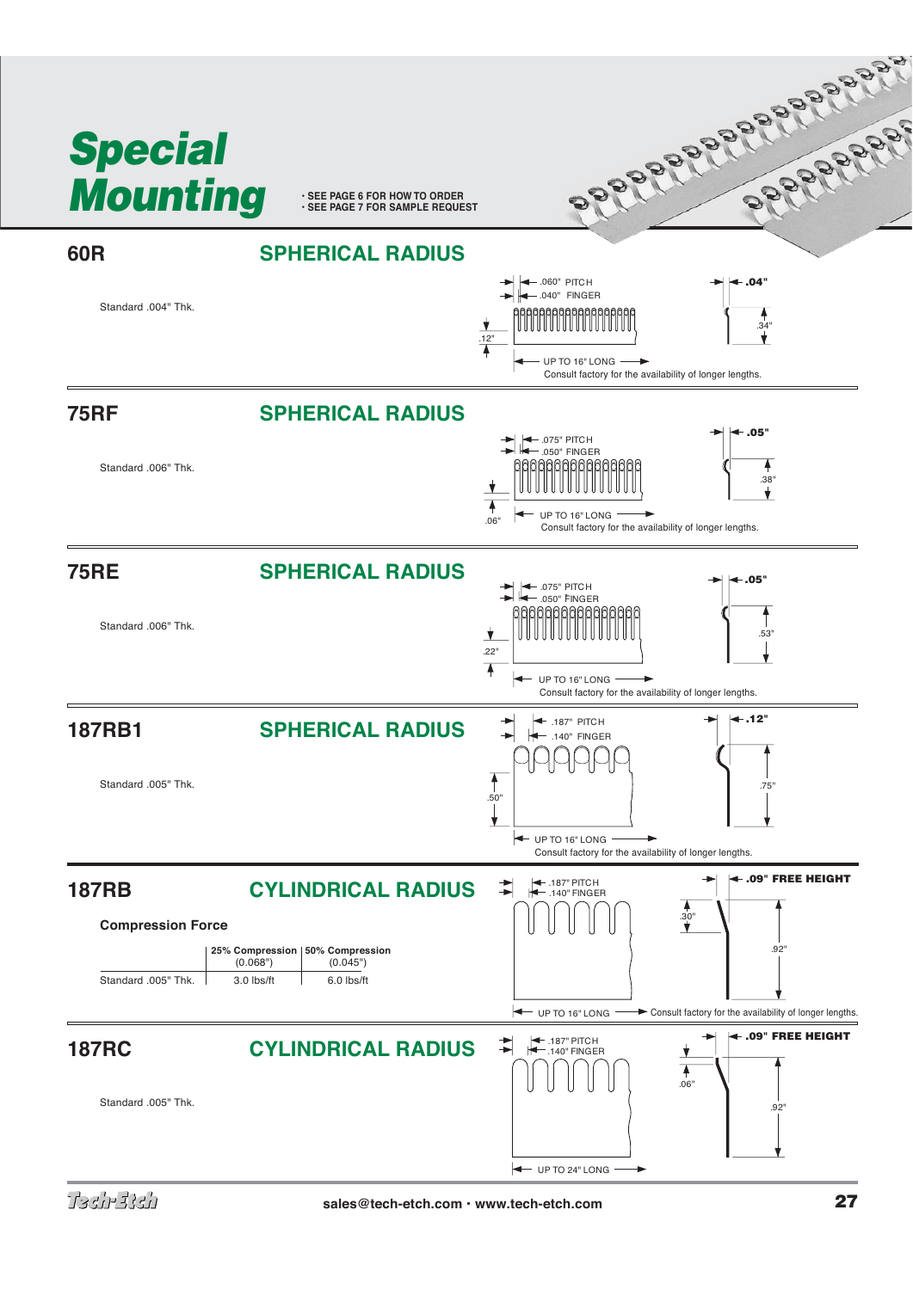